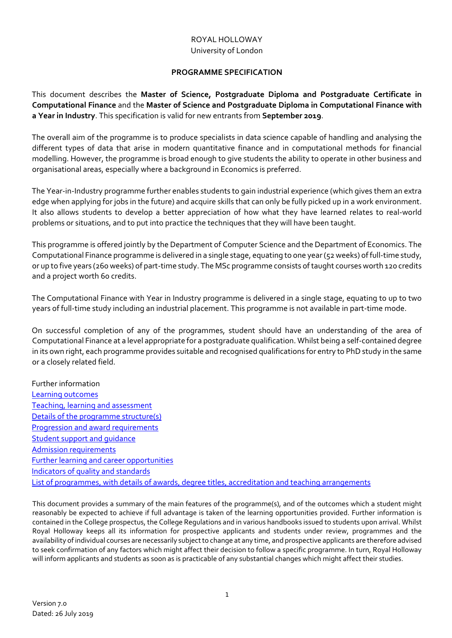# ROYAL HOLLOWAY University of London

### **PROGRAMME SPECIFICATION**

This document describes the **Master of Science, Postgraduate Diploma and Postgraduate Certificate in Computational Finance** and the **Master of Science and Postgraduate Diploma in Computational Finance with a Year in Industry**. This specification is valid for new entrants from **September 2019**.

The overall aim of the programme is to produce specialists in data science capable of handling and analysing the different types of data that arise in modern quantitative finance and in computational methods for financial modelling. However, the programme is broad enough to give students the ability to operate in other business and organisational areas, especially where a background in Economics is preferred.

The Year-in-Industry programme further enables students to gain industrial experience (which gives them an extra edge when applying for jobs in the future) and acquire skills that can only be fully picked up in a work environment. It also allows students to develop a better appreciation of how what they have learned relates to real‐world problems or situations, and to put into practice the techniques that they will have been taught.

This programme is offered jointly by the Department of Computer Science and the Department of Economics. The Computational Finance programme is delivered in a single stage, equating to one year (52 weeks) of full-time study, or up to five years (260 weeks) of part‐time study. The MSc programme consists oftaught courses worth 120 credits and a project worth 60 credits.

The Computational Finance with Year in Industry programme is delivered in a single stage, equating to up to two years of full‐time study including an industrial placement. This programme is not available in part‐time mode.

On successful completion of any of the programmes, student should have an understanding of the area of Computational Finance at a level appropriate for a postgraduate qualification. Whilst being a self‐contained degree in its own right, each programme provides suitable and recognised qualifications for entry to PhD study in the same or a closely related field.

Further information Learning outcomes Teaching, learning and assessment Details of the programme structure(s) Progression and award requirements Student support and guidance Admission requirements Further learning and career opportunities Indicators of quality and standards List of programmes, with details of awards, degree titles, accreditation and teaching arrangements

This document provides a summary of the main features of the programme(s), and of the outcomes which a student might reasonably be expected to achieve if full advantage is taken of the learning opportunities provided. Further information is contained in the College prospectus, the College Regulations and in various handbooks issued to students upon arrival. Whilst Royal Holloway keeps all its information for prospective applicants and students under review, programmes and the availability ofindividual courses are necessarily subjectto change at any time, and prospective applicants are therefore advised to seek confirmation of any factors which might affect their decision to follow a specific programme. In turn, Royal Holloway will inform applicants and students as soon as is practicable of any substantial changes which might affect their studies.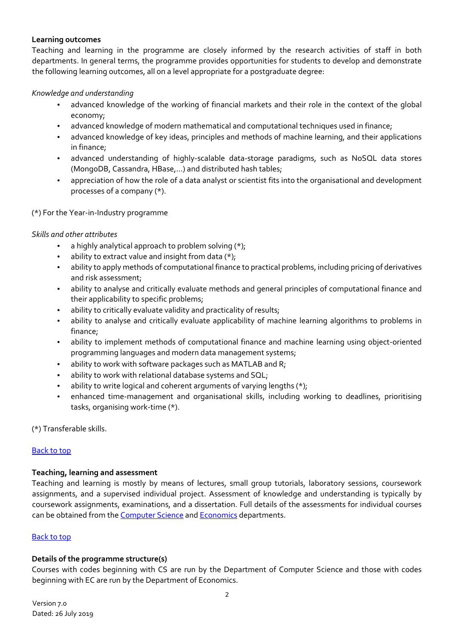### **Learning outcomes**

Teaching and learning in the programme are closely informed by the research activities of staff in both departments. In general terms, the programme provides opportunities for students to develop and demonstrate the following learning outcomes, all on a level appropriate for a postgraduate degree:

### *Knowledge and understanding*

- advanced knowledge of the working of financial markets and their role in the context of the global economy;
- advanced knowledge of modern mathematical and computational techniques used in finance;
- advanced knowledge of key ideas, principles and methods of machine learning, and their applications in finance;
- advanced understanding of highly-scalable data-storage paradigms, such as NoSQL data stores (MongoDB, Cassandra, HBase,…) and distributed hash tables;
- appreciation of how the role of a data analyst or scientist fits into the organisational and development processes of a company (\*).

## (\*) For the Year‐in‐Industry programme

### *Skills and other attributes*

- a highly analytical approach to problem solving (\*);
- ability to extract value and insight from data  $(*)$ ;
- ability to apply methods of computational finance to practical problems, including pricing of derivatives and risk assessment;
- ability to analyse and critically evaluate methods and general principles of computational finance and their applicability to specific problems;
- ability to critically evaluate validity and practicality of results;
- ability to analyse and critically evaluate applicability of machine learning algorithms to problems in finance;
- ability to implement methods of computational finance and machine learning using object-oriented programming languages and modern data management systems;
- ability to work with software packages such as MATLAB and R;
- ability to work with relational database systems and SQL;
- ability to write logical and coherent arguments of varying lengths (\*);
- enhanced time-management and organisational skills, including working to deadlines, prioritising tasks, organising work‐time (\*).

(\*) Transferable skills.

### Back to top

### **Teaching, learning and assessment**

Teaching and learning is mostly by means of lectures, small group tutorials, laboratory sessions, coursework assignments, and a supervised individual project. Assessment of knowledge and understanding is typically by coursework assignments, examinations, and a dissertation. Full details of the assessments for individual courses can be obtained from the Computer Science and Economics departments.

### Back to top

### **Details of the programme structure(s)**

Courses with codes beginning with CS are run by the Department of Computer Science and those with codes beginning with EC are run by the Department of Economics.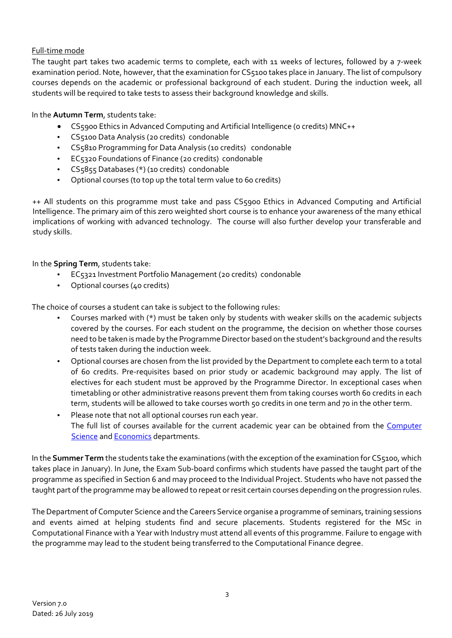# Full‐time mode

The taught part takes two academic terms to complete, each with 11 weeks of lectures, followed by a 7-week examination period. Note, however, that the examination for CS5100 takes place in January. The list of compulsory courses depends on the academic or professional background of each student. During the induction week, all students will be required to take tests to assess their background knowledge and skills.

In the **Autumn Term**, students take:

- CS5900 Ethics in Advanced Computing and Artificial Intelligence (0 credits) MNC++
- CS5100 Data Analysis (20 credits) condonable
- CS5810 Programming for Data Analysis (10 credits) condonable
- EC5320 Foundations of Finance (20 credits) condonable
- CS5855 Databases (\*) (10 credits) condonable
- Optional courses (to top up the total term value to 60 credits)

++ All students on this programme must take and pass CS5900 Ethics in Advanced Computing and Artificial Intelligence. The primary aim of this zero weighted short course is to enhance your awareness of the many ethical implications of working with advanced technology. The course will also further develop your transferable and study skills.

In the **Spring Term**, students take:

- EC5321 Investment Portfolio Management (20 credits) condonable
- Optional courses (40 credits)

The choice of courses a student can take is subject to the following rules:

- Courses marked with (\*) must be taken only by students with weaker skills on the academic subjects covered by the courses. For each student on the programme, the decision on whether those courses need to be taken is made by the Programme Director based on the student's background and the results of tests taken during the induction week.
- Optional courses are chosen from the list provided by the Department to complete each term to a total of 60 credits. Pre‐requisites based on prior study or academic background may apply. The list of electives for each student must be approved by the Programme Director. In exceptional cases when timetabling or other administrative reasons prevent them from taking courses worth 60 credits in each term, students will be allowed to take courses worth 50 credits in one term and 70 in the other term.
- Please note that not all optional courses run each year. The full list of courses available for the current academic year can be obtained from the Computer Science and Economics departments.

In the **Summer Term** the students take the examinations (with the exception of the examination for CS5100, which takes place in January). In June, the Exam Sub‐board confirms which students have passed the taught part of the programme as specified in Section 6 and may proceed to the Individual Project. Students who have not passed the taught part of the programme may be allowed to repeat or resit certain courses depending on the progression rules.

The Department of Computer Science and the Careers Service organise a programme of seminars, training sessions and events aimed at helping students find and secure placements. Students registered for the MSc in Computational Finance with a Year with Industry must attend all events of this programme. Failure to engage with the programme may lead to the student being transferred to the Computational Finance degree.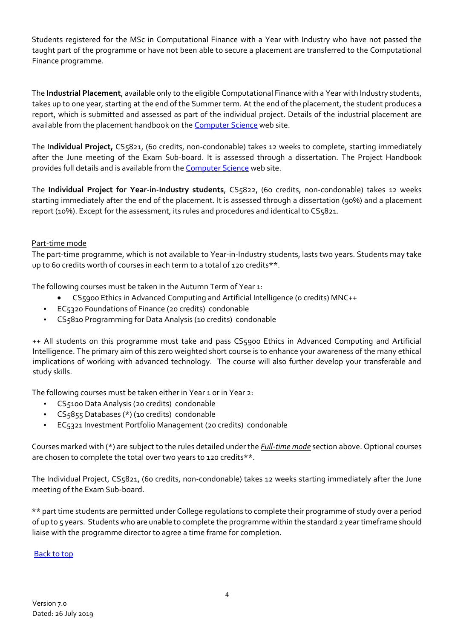Students registered for the MSc in Computational Finance with a Year with Industry who have not passed the taught part of the programme or have not been able to secure a placement are transferred to the Computational Finance programme.

The **Industrial Placement**, available only to the eligible Computational Finance with a Year with Industry students, takes up to one year, starting at the end of the Summer term. At the end of the placement, the student produces a report, which is submitted and assessed as part of the individual project. Details of the industrial placement are available from the placement handbook on the **Computer Science** web site.

The **Individual Project,** CS5821, (60 credits, non‐condonable) takes 12 weeks to complete, starting immediately after the June meeting of the Exam Sub-board. It is assessed through a dissertation. The Project Handbook provides full details and is available from the Computer Science web site.

The **Individual Project for Year‐in‐Industry students**, CS5822, (60 credits, non‐condonable) takes 12 weeks starting immediately after the end of the placement. It is assessed through a dissertation (90%) and a placement report (10%). Except for the assessment, its rules and procedures and identical to CS5821.

### Part‐time mode

The part‐time programme, which is not available to Year‐in‐Industry students, lasts two years. Students may take up to 60 credits worth of courses in each term to a total of 120 credits\*\*.

The following courses must be taken in the Autumn Term of Year 1:

- CS5900 Ethics in Advanced Computing and Artificial Intelligence (0 credits) MNC++
- EC5320 Foundations of Finance (20 credits) condonable
- CS5810 Programming for Data Analysis (10 credits) condonable

++ All students on this programme must take and pass CS5900 Ethics in Advanced Computing and Artificial Intelligence. The primary aim of this zero weighted short course is to enhance your awareness of the many ethical implications of working with advanced technology. The course will also further develop your transferable and study skills.

The following courses must be taken either in Year 1 or in Year 2:

- CS5100 Data Analysis (20 credits) condonable
- CS5855 Databases (\*) (10 credits) condonable
- EC5321 Investment Portfolio Management (20 credits) condonable

Courses marked with (\*) are subject to the rules detailed under the *Full‐time mode* section above. Optional courses are chosen to complete the total over two years to 120 credits\*\*.

The Individual Project, CS5821, (60 credits, non‐condonable) takes 12 weeks starting immediately after the June meeting of the Exam Sub‐board.

\*\* part time students are permitted under College regulations to complete their programme of study over a period of up to 5 years. Students who are unable to complete the programme within the standard 2 yeartimeframe should liaise with the programme director to agree a time frame for completion.

### Back to top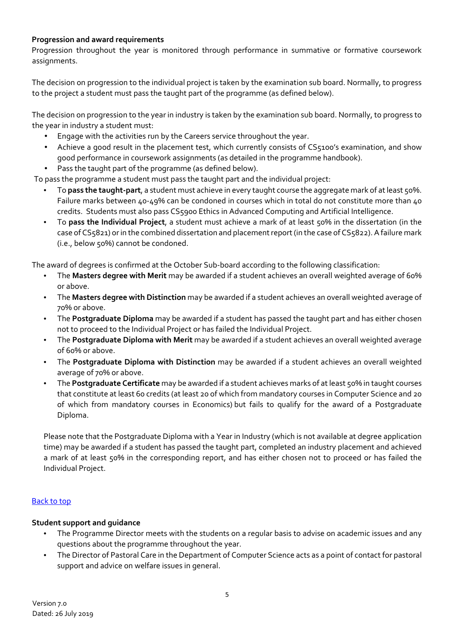## **Progression and award requirements**

Progression throughout the year is monitored through performance in summative or formative coursework assignments.

The decision on progression to the individual project is taken by the examination sub board. Normally, to progress to the project a student must pass the taught part of the programme (as defined below).

The decision on progression to the year in industry is taken by the examination sub board. Normally, to progress to the year in industry a student must:

- Engage with the activities run by the Careers service throughout the year.
- Achieve a good result in the placement test, which currently consists of CS5100's examination, and show good performance in coursework assignments (as detailed in the programme handbook).
- Pass the taught part of the programme (as defined below).

To pass the programme a student must pass the taught part and the individual project:

- To **pass the taught‐part**, a student must achieve in every taught course the aggregate mark of atleast 50%. Failure marks between 40-49% can be condoned in courses which in total do not constitute more than 40 credits. Students must also pass CS5900 Ethics in Advanced Computing and Artificial Intelligence.
- To **pass the Individual Project**, a student must achieve a mark of at least 50% in the dissertation (in the case of CS5821) or in the combined dissertation and placement report (in the case of CS5822). A failure mark (i.e., below 50%) cannot be condoned.

The award of degrees is confirmed at the October Sub‐board according to the following classification:

- The **Masters degree with Merit** may be awarded if a student achieves an overall weighted average of 60% or above.
- The **Masters degree with Distinction** may be awarded if a student achieves an overall weighted average of 70% or above.
- The **Postgraduate Diploma** may be awarded if a student has passed the taught part and has either chosen not to proceed to the Individual Project or has failed the Individual Project.
- The **Postgraduate Diploma with Merit** may be awarded if a student achieves an overall weighted average of 60% or above.
- The **Postgraduate Diploma with Distinction** may be awarded if a student achieves an overall weighted average of 70% or above.
- The **Postgraduate Certificate** may be awarded if a student achieves marks of atleast 50% in taught courses that constitute at least 60 credits (at least 20 of which from mandatory courses in Computer Science and 20 of which from mandatory courses in Economics) but fails to qualify for the award of a Postgraduate Diploma.

Please note that the Postgraduate Diploma with a Year in Industry (which is not available at degree application time) may be awarded if a student has passed the taught part, completed an industry placement and achieved a mark of at least 50% in the corresponding report, and has either chosen not to proceed or has failed the Individual Project.

# Back to top

### **Student support and guidance**

- The Programme Director meets with the students on a regular basis to advise on academic issues and any questions about the programme throughout the year.
- The Director of Pastoral Care in the Department of Computer Science acts as a point of contact for pastoral support and advice on welfare issues in general.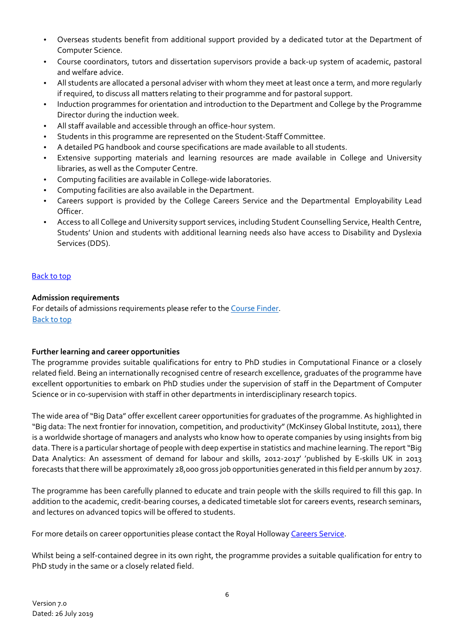- Overseas students benefit from additional support provided by a dedicated tutor at the Department of Computer Science.
- Course coordinators, tutors and dissertation supervisors provide a back‐up system of academic, pastoral and welfare advice.
- All students are allocated a personal adviser with whom they meet at least once a term, and more regularly if required, to discuss all matters relating to their programme and for pastoral support.
- Induction programmes for orientation and introduction to the Department and College by the Programme Director during the induction week.
- All staff available and accessible through an office‐hour system.
- Students in this programme are represented on the Student‐Staff Committee.
- A detailed PG handbook and course specifications are made available to all students.
- Extensive supporting materials and learning resources are made available in College and University libraries, as well as the Computer Centre.
- Computing facilities are available in College‐wide laboratories.
- Computing facilities are also available in the Department.
- Careers support is provided by the College Careers Service and the Departmental Employability Lead Officer.
- Access to all College and University support services, including Student Counselling Service, Health Centre, Students' Union and students with additional learning needs also have access to Disability and Dyslexia Services (DDS).

### Back to top

### **Admission requirements**

For details of admissions requirements please refer to the Course Finder. Back to top

### **Further learning and career opportunities**

The programme provides suitable qualifications for entry to PhD studies in Computational Finance or a closely related field. Being an internationally recognised centre of research excellence, graduates of the programme have excellent opportunities to embark on PhD studies under the supervision of staff in the Department of Computer Science or in co-supervision with staff in other departments in interdisciplinary research topics.

The wide area of"Big Data" offer excellent career opportunities for graduates of the programme. As highlighted in "Big data: The next frontier for innovation, competition, and productivity"(McKinsey Global Institute, 2011), there is a worldwide shortage of managers and analysts who know how to operate companies by using insights from big data. There is a particular shortage of people with deep expertise in statistics and machine learning. The report "Big Data Analytics: An assessment of demand for labour and skills, 2012-2017' 'published by E-skills UK in 2013 forecasts that there will be approximately 28,000 gross job opportunities generated in this field per annum by 2017.

The programme has been carefully planned to educate and train people with the skills required to fill this gap. In addition to the academic, credit-bearing courses, a dedicated timetable slot for careers events, research seminars, and lectures on advanced topics will be offered to students.

For more details on career opportunities please contact the Royal Holloway Careers Service.

Whilst being a self-contained degree in its own right, the programme provides a suitable qualification for entry to PhD study in the same or a closely related field.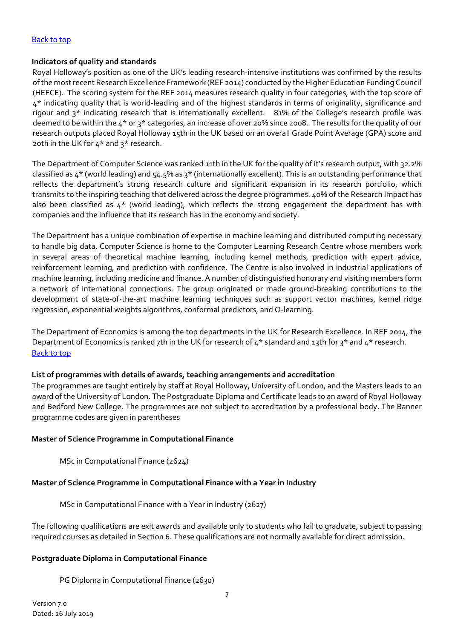### Back to top

### **Indicators of quality and standards**

Royal Holloway's position as one of the UK's leading research‐intensive institutions was confirmed by the results of the most recent Research Excellence Framework (REF 2014) conducted by the Higher Education Funding Council (HEFCE). The scoring system for the REF 2014 measures research quality in four categories, with the top score of 4\* indicating quality that is world‐leading and of the highest standards in terms of originality, significance and rigour and 3<sup>\*</sup> indicating research that is internationally excellent. 81% of the College's research profile was deemed to be within the 4\* or 3\* categories, an increase of over 20% since 2008. The results for the quality of our research outputs placed Royal Holloway 15th in the UK based on an overall Grade Point Average (GPA) score and 20th in the UK for  $4*$  and  $3*$  research.

The Department of Computer Science was ranked 11th in the UK for the quality of it's research output, with 32.2% classified as 4\* (world leading) and 54.5% as 3\* (internationally excellent). This is an outstanding performance that reflects the department's strong research culture and significant expansion in its research portfolio, which transmits to the inspiring teaching that delivered across the degree programmes. 40% of the Research Impact has also been classified as  $4*$  (world leading), which reflects the strong engagement the department has with companies and the influence that its research has in the economy and society.

The Department has a unique combination of expertise in machine learning and distributed computing necessary to handle big data. Computer Science is home to the Computer Learning Research Centre whose members work in several areas of theoretical machine learning, including kernel methods, prediction with expert advice, reinforcement learning, and prediction with confidence. The Centre is also involved in industrial applications of machine learning, including medicine and finance. A number of distinguished honorary and visiting members form a network of international connections. The group originated or made ground-breaking contributions to the development of state‐of‐the‐art machine learning techniques such as support vector machines, kernel ridge regression, exponential weights algorithms, conformal predictors, and Q‐learning.

The Department of Economics is among the top departments in the UK for Research Excellence. In REF 2014, the Department of Economics is ranked 7th in the UK for research of 4\* standard and 13th for 3\* and 4\* research. Back to top

### **List of programmes with details of awards, teaching arrangements and accreditation**

The programmes are taught entirely by staff at Royal Holloway, University of London, and the Masters leads to an award of the University of London. The Postgraduate Diploma and Certificate leads to an award of Royal Holloway and Bedford New College. The programmes are not subject to accreditation by a professional body. The Banner programme codes are given in parentheses

### **Master of Science Programme in Computational Finance**

MSc in Computational Finance (2624)

### **Master of Science Programme in Computational Finance with a Year in Industry**

MSc in Computational Finance with a Year in Industry (2627)

The following qualifications are exit awards and available only to students who fail to graduate, subject to passing required courses as detailed in Section 6. These qualifications are not normally available for direct admission.

# **Postgraduate Diploma in Computational Finance**

PG Diploma in Computational Finance (2630)